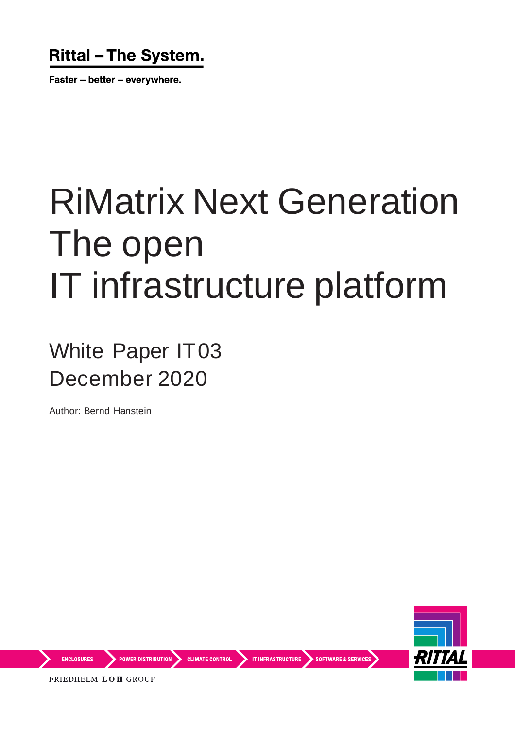### **Rittal - The System.**

Faster - better - everywhere.

# RiMatrix Next Generation The open IT infrastructure platform

White Paper IT03 December 2020

Author: Bernd Hanstein



**ENCLOSURES** 

**POWER DISTRIBUTION** CLIMATE CONTROL IT INFRASTRUCTURE SOFTWARE & SERVICES

FRIEDHELM LOH GROUP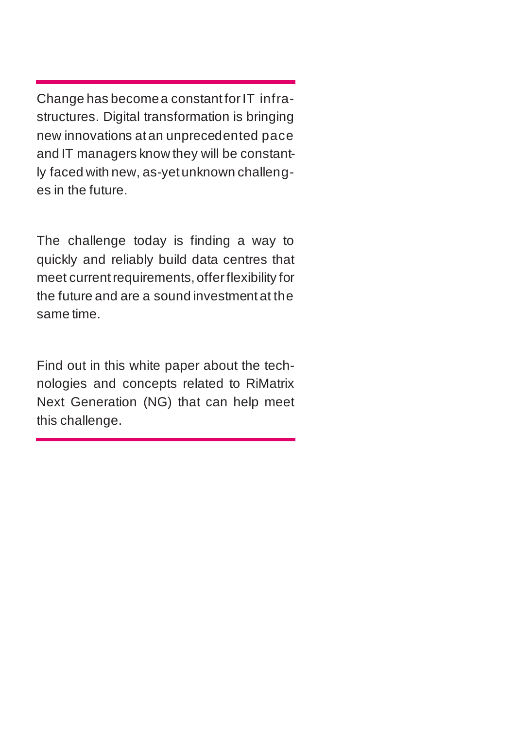Change has become a constant for IT infrastructures. Digital transformation is bringing new innovations at an unprecedented pace and IT managers know they will be constantly faced with new, as-yet unknown challenges in the future.

The challenge today is finding a way to quickly and reliably build data centres that meet current requirements, offer flexibility for the future and are a sound investment at the same time.

Find out in this white paper about the technologies and concepts related to RiMatrix Next Generation (NG) that can help meet this challenge.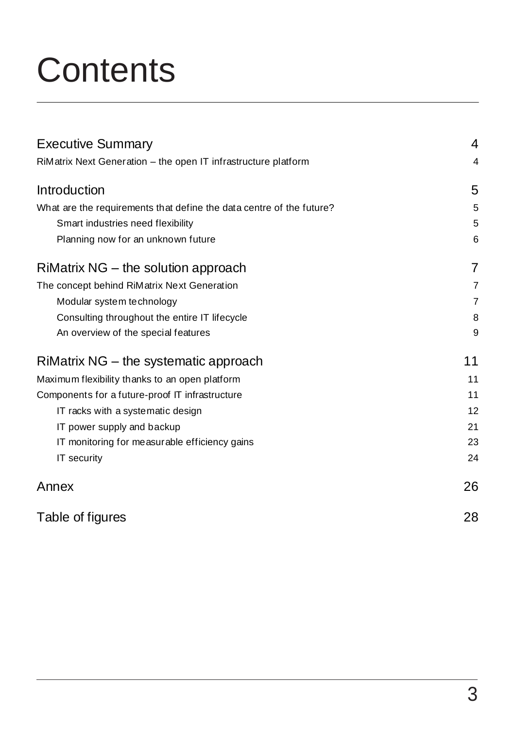# **Contents**

| <b>Executive Summary</b>                                             | 4              |
|----------------------------------------------------------------------|----------------|
| RiMatrix Next Generation - the open IT infrastructure platform       | 4              |
| Introduction                                                         | 5              |
| What are the requirements that define the data centre of the future? | 5              |
| Smart industries need flexibility                                    | 5              |
| Planning now for an unknown future                                   | 6              |
| RiMatrix NG - the solution approach                                  | 7              |
| The concept behind RiMatrix Next Generation                          | $\overline{7}$ |
| Modular system technology                                            | $\overline{7}$ |
| Consulting throughout the entire IT lifecycle                        | 8              |
| An overview of the special features                                  | 9              |
| RiMatrix NG - the systematic approach                                | 11             |
| Maximum flexibility thanks to an open platform                       | 11             |
| Components for a future-proof IT infrastructure                      | 11             |
| IT racks with a systematic design                                    | 12             |
| IT power supply and backup                                           | 21             |
| IT monitoring for measurable efficiency gains                        | 23             |
| IT security                                                          | 24             |
| Annex                                                                | 26             |
| Table of figures                                                     | 28             |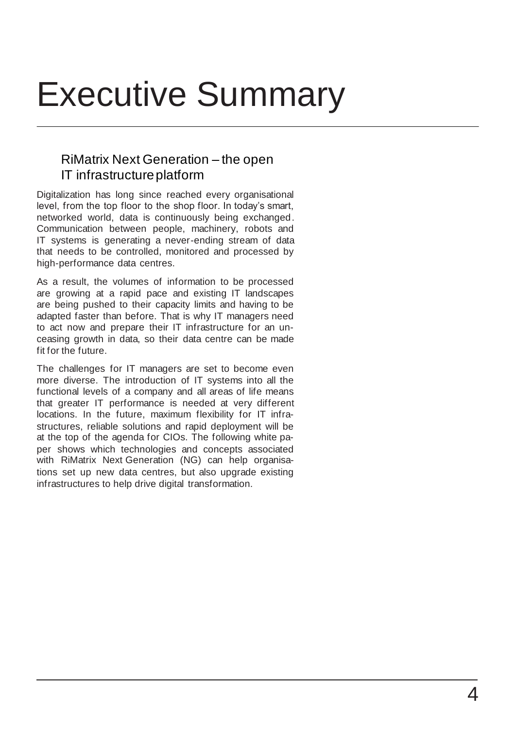# Executive Summary

### RiMatrix Next Generation – the open IT infrastructure platform

Digitalization has long since reached every organisational level, from the top floor to the shop floor. In today's smart, networked world, data is continuously being exchanged. Communication between people, machinery, robots and IT systems is generating a never-ending stream of data that needs to be controlled, monitored and processed by high-performance data centres.

As a result, the volumes of information to be processed are growing at a rapid pace and existing IT landscapes are being pushed to their capacity limits and having to be adapted faster than before. That is why IT managers need to act now and prepare their IT infrastructure for an unceasing growth in data, so their data centre can be made fit for the future.

The challenges for IT managers are set to become even more diverse. The introduction of IT systems into all the functional levels of a company and all areas of life means that greater IT performance is needed at very different locations. In the future, maximum flexibility for IT infrastructures, reliable solutions and rapid deployment will be at the top of the agenda for CIOs. The following white paper shows which technologies and concepts associated with RiMatrix Next Generation (NG) can help organisations set up new data centres, but also upgrade existing infrastructures to help drive digital transformation.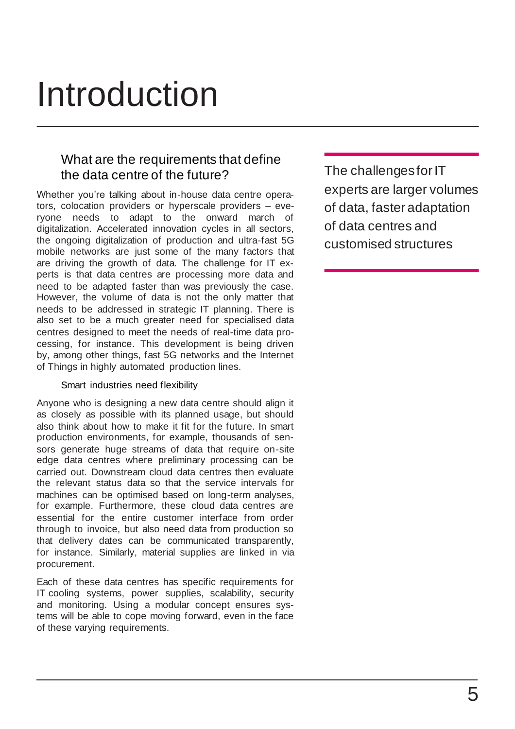# Introduction

### What are the requirements that define the data centre of the future?

Whether you're talking about in-house data centre operators, colocation providers or hyperscale providers – everyone needs to adapt to the onward march of digitalization. Accelerated innovation cycles in all sectors, the ongoing digitalization of production and ultra-fast 5G mobile networks are just some of the many factors that are driving the growth of data. The challenge for IT experts is that data centres are processing more data and need to be adapted faster than was previously the case. However, the volume of data is not the only matter that needs to be addressed in strategic IT planning. There is also set to be a much greater need for specialised data centres designed to meet the needs of real-time data processing, for instance. This development is being driven by, among other things, fast 5G networks and the Internet of Things in highly automated production lines.

#### Smart industries need flexibility

Anyone who is designing a new data centre should align it as closely as possible with its planned usage, but should also think about how to make it fit for the future. In smart production environments, for example, thousands of sensors generate huge streams of data that require on-site edge data centres where preliminary processing can be carried out. Downstream cloud data centres then evaluate the relevant status data so that the service intervals for machines can be optimised based on long-term analyses, for example. Furthermore, these cloud data centres are essential for the entire customer interface from order through to invoice, but also need data from production so that delivery dates can be communicated transparently, for instance. Similarly, material supplies are linked in via procurement.

Each of these data centres has specific requirements for IT cooling systems, power supplies, scalability, security and monitoring. Using a modular concept ensures systems will be able to cope moving forward, even in the face of these varying requirements.

The challenges for IT experts are larger volumes of data, faster adaptation of data centres and customised structures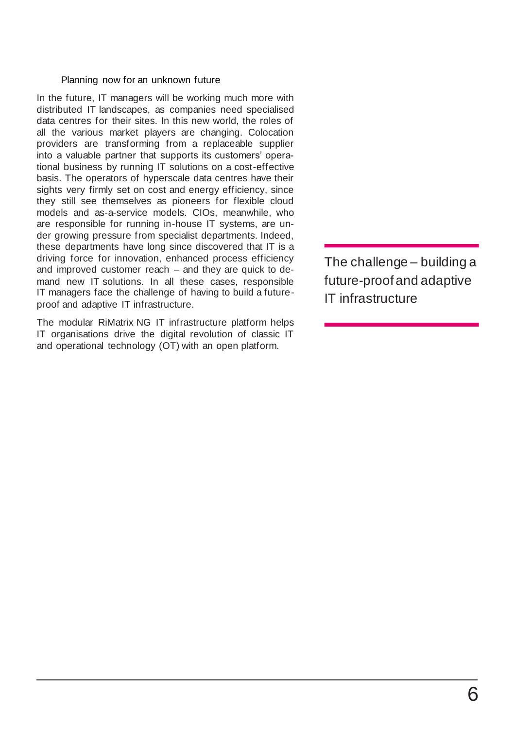#### Planning now for an unknown future

In the future, IT managers will be working much more with distributed IT landscapes, as companies need specialised data centres for their sites. In this new world, the roles of all the various market players are changing. Colocation providers are transforming from a replaceable supplier into a valuable partner that supports its customers' operational business by running IT solutions on a cost-effective basis. The operators of hyperscale data centres have their sights very firmly set on cost and energy efficiency, since they still see themselves as pioneers for flexible cloud models and as-a-service models. CIOs, meanwhile, who are responsible for running in-house IT systems, are under growing pressure from specialist departments. Indeed, these departments have long since discovered that IT is a driving force for innovation, enhanced process efficiency and improved customer reach – and they are quick to demand new IT solutions. In all these cases, responsible IT managers face the challenge of having to build a futureproof and adaptive IT infrastructure.

The modular RiMatrix NG IT infrastructure platform helps IT organisations drive the digital revolution of classic IT and operational technology (OT) with an open platform.

The challenge – building a future-proof and adaptive IT infrastructure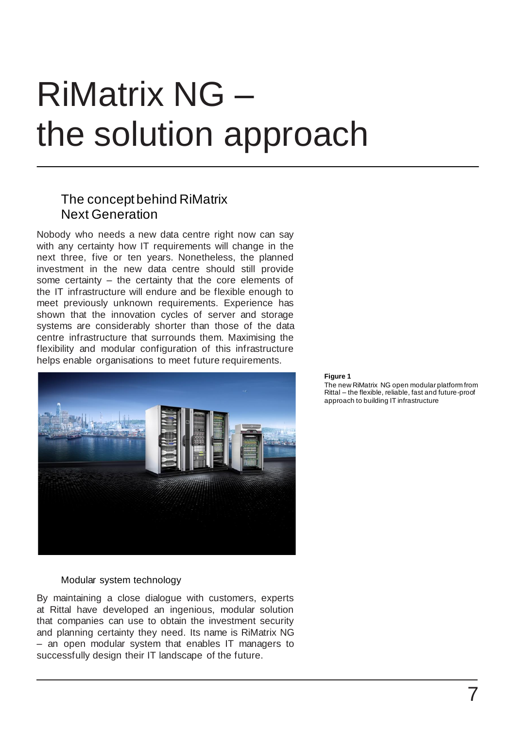# RiMatrix NG – the solution approach

### The concept behind RiMatrix Next Generation

Nobody who needs a new data centre right now can say with any certainty how IT requirements will change in the next three, five or ten years. Nonetheless, the planned investment in the new data centre should still provide some certainty – the certainty that the core elements of the IT infrastructure will endure and be flexible enough to meet previously unknown requirements. Experience has shown that the innovation cycles of server and storage systems are considerably shorter than those of the data centre infrastructure that surrounds them. Maximising the flexibility and modular configuration of this infrastructure helps enable organisations to meet future requirements.



#### Modular system technology

By maintaining a close dialogue with customers, experts at Rittal have developed an ingenious, modular solution that companies can use to obtain the investment security and planning certainty they need. Its name is RiMatrix NG – an open modular system that enables IT managers to successfully design their IT landscape of the future.

#### **Figure 1**

The new RiMatrix NG open modular platform from Rittal – the flexible, reliable, fast and future-proof approach to building IT infrastructure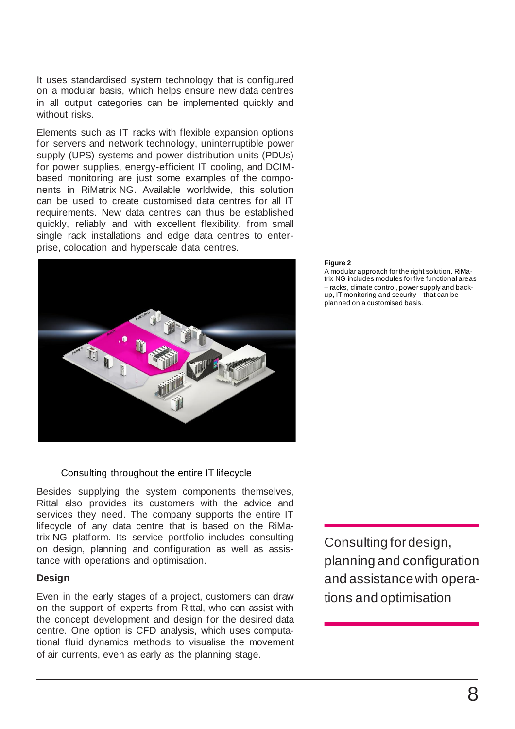It uses standardised system technology that is configured on a modular basis, which helps ensure new data centres in all output categories can be implemented quickly and without risks.

Elements such as IT racks with flexible expansion options for servers and network technology, uninterruptible power supply (UPS) systems and power distribution units (PDUs) for power supplies, energy-efficient IT cooling, and DCIMbased monitoring are just some examples of the components in RiMatrix NG. Available worldwide, this solution can be used to create customised data centres for all IT requirements. New data centres can thus be established quickly, reliably and with excellent flexibility, from small single rack installations and edge data centres to enterprise, colocation and hyperscale data centres.



#### Consulting throughout the entire IT lifecycle

Besides supplying the system components themselves, Rittal also provides its customers with the advice and services they need. The company supports the entire IT lifecycle of any data centre that is based on the RiMatrix NG platform. Its service portfolio includes consulting on design, planning and configuration as well as assistance with operations and optimisation.

#### **Design**

Even in the early stages of a project, customers can draw on the support of experts from Rittal, who can assist with the concept development and design for the desired data centre. One option is CFD analysis, which uses computational fluid dynamics methods to visualise the movement of air currents, even as early as the planning stage.

### Consulting for design, planning and configuration and assistance with operations and optimisation

#### **Figure 2**

A modular approach for the right solution. RiMatrix NG includes modules for five functional areas – racks, climate control, power supply and backup, IT monitoring and security – that can be planned on a customised basis.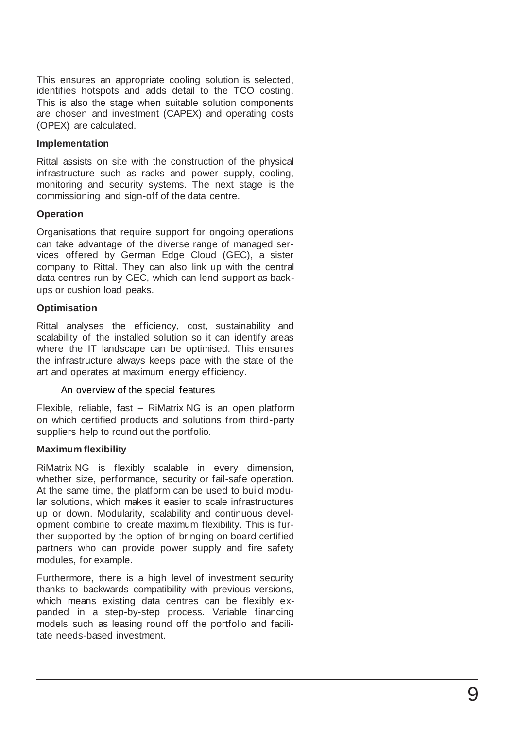This ensures an appropriate cooling solution is selected, identifies hotspots and adds detail to the TCO costing.<br>This is also the stage when suitable solution components are chosen and investment (CAPEX) and operating costs (OPEX) are calculated.

#### **Implementation**

Rittal assists on site with the construction of the physical infrastructure such as racks and power supply, cooling, monitoring and security systems. The next stage is the commissioning and sign -off of the data centre.

#### **Operation**

Organisations that require support for ongoing operations can take advantage of the diverse range of managed services offered by German Edge Cloud (GEC), a sister company to Rittal. They can also link up with the central data centres run by GEC, which can lend support as back ups or cushion load peaks.

#### **Optimisation**

Rittal analyses the efficiency, cost, sustainability and scalability of the installed solution so it can identify areas where the IT landscape can be optimised. This ensures the infrastructure always keeps pace with the state of the art and operates at maximum energy efficiency.

#### An overview of the special features

Flexible, reliable, fast – RiMatrix NG is an open platform on which certified products and solutions from third -party suppliers help to round out the portfolio.

#### **Maximum flexibility**

RiMatrix NG is flexibly scalable in every dimension, whether size, performance, security or fail -safe operation. At the same time, the platform can be used to build modular solutions, which makes it easier to scale infrastructures up or down. Modularity, scalability and continuous development combine to create maximum flexibility. This is further supported by the option of bringing on board certified partners who can provide power supply and fire safety modules, for example.

Furthermore, there is a high level of investment security thanks to backwards compatibility with previous versions, which means existing data centres can be flexibly expanded in a step-by-step process. Variable financing models such as leasing round off the portfolio and facilitate needs-based investment.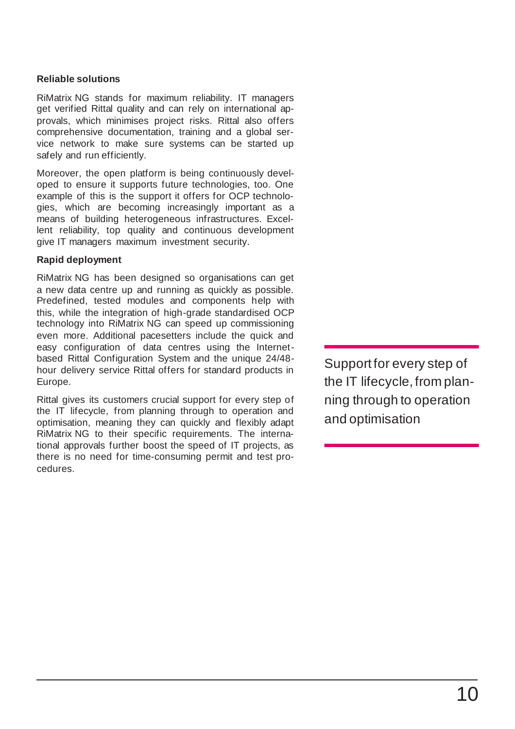#### **Reliable solutions**

RiMatrix NG stands for maximum reliability. IT managers get verified Rittal quality and can rely on international approvals, which minimises project risks. Rittal also offers comprehensive documentation, training and a global service network to make sure systems can be started up safely and run efficiently.

Moreover, the open platform is being continuously developed to ensure it supports future technologies, too. One example of this is the support it offers for OCP technologies, which are becoming increasingly important as a means of building heterogeneous infrastructures. Excellent reliability, top quality and continuous development give IT managers maximum investment security.

#### **Rapid deployment**

RiMatrix NG has been designed so organisations can get a new data centre up and running as quickly as possible. Predefined, tested modules and components help with this, while the integration of high-grade standardised OCP technology into RiMatrix NG can speed up commissioning even more. Additional pacesetters include the quick and easy configuration of data centres using the Internetbased Rittal Configuration System and the unique 24/48 hour delivery service Rittal offers for standard products in Europe.

Rittal gives its customers crucial support for every step of the IT lifecycle, from planning through to operation and optimisation, meaning they can quickly and flexibly adapt RiMatrix NG to their specific requirements. The international approvals further boost the speed of IT projects, as there is no need for time-consuming permit and test procedures.

Support for every step of the IT lifecycle, from planning through to operation and optimisation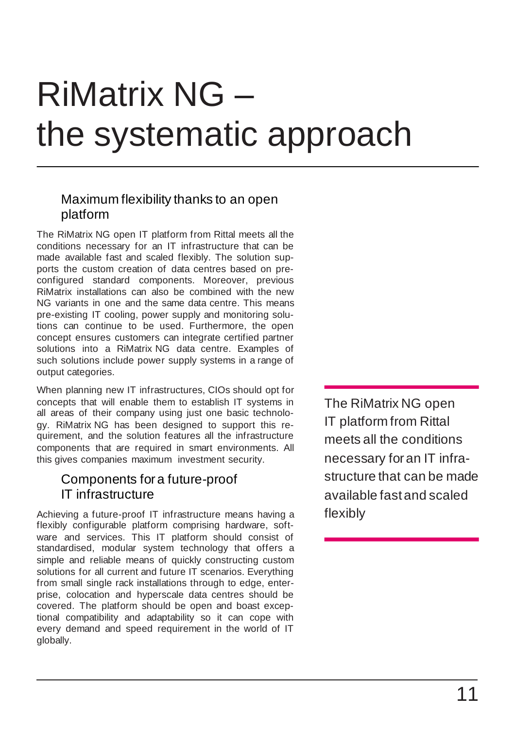# RiMatrix NG – the systematic approach

### Maximum flexibility thanks to an open platform

The RiMatrix NG open IT platform from Rittal meets all the conditions necessary for an IT infrastructure that can be made available fast and scaled flexibly. The solution supports the custom creation of data centres based on preconfigured standard components. Moreover, previous RiMatrix installations can also be combined with the new NG variants in one and the same data centre. This means pre-existing IT cooling, power supply and monitoring solutions can continue to be used. Furthermore, the open concept ensures customers can integrate certified partner solutions into a RiMatrix NG data centre. Examples of such solutions include power supply systems in a range of output categories.

When planning new IT infrastructures, CIOs should opt for concepts that will enable them to establish IT systems in all areas of their company using just one basic technology. RiMatrix NG has been designed to support this requirement, and the solution features all the infrastructure components that are required in smart environments. All this gives companies maximum investment security.

### Components for a future-proof IT infrastructure

Achieving a future-proof IT infrastructure means having a flexibly configurable platform comprising hardware, software and services. This IT platform should consist of standardised, modular system technology that offers a simple and reliable means of quickly constructing custom solutions for all current and future IT scenarios. Everything from small single rack installations through to edge, enterprise, colocation and hyperscale data centres should be covered. The platform should be open and boast exceptional compatibility and adaptability so it can cope with every demand and speed requirement in the world of IT globally.

The RiMatrix NG open IT platform from Rittal meets all the conditions necessary for an IT infrastructure that can be made available fast and scaled flexibly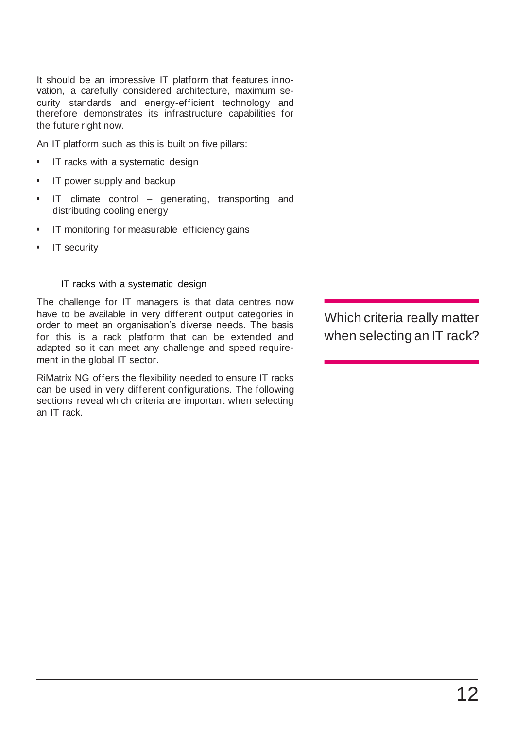It should be an impressive IT platform that features innovation, a carefully considered architecture, maximum security standards and energy-efficient technology and therefore demonstrates its infrastructure capabilities for the future right now.

An IT platform such as this is built on five pillars:

- **·** IT racks with a systematic design
- **·** IT power supply and backup
- IT climate control generating, transporting and distributing cooling energy
- **·** IT monitoring for measurable efficiency gains
- IT security

#### IT racks with a systematic design

The challenge for IT managers is that data centres now have to be available in very different output categories in order to meet an organisation's diverse needs. The basis for this is a rack platform that can be extended and adapted so it can meet any challenge and speed requirement in the global IT sector.

RiMatrix NG offers the flexibility needed to ensure IT racks can be used in very different configurations. The following sections reveal which criteria are important when selecting an IT rack.

Which criteria really matter when selecting an IT rack?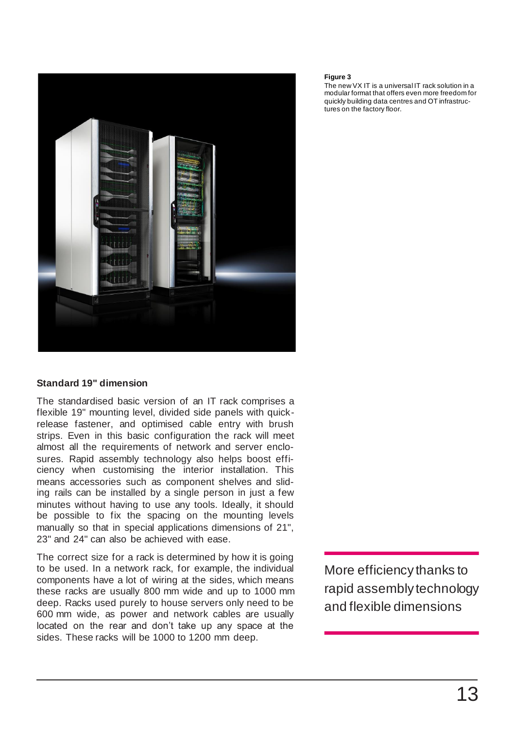

#### **Standard 19" dimension**

The standardised basic version of an IT rack comprises a flexible 19" mounting level, divided side panels with quickrelease fastener, and optimised cable entry with brush strips. Even in this basic configuration the rack will meet almost all the requirements of network and server enclosures. Rapid assembly technology also helps boost efficiency when customising the interior installation. This means accessories such as component shelves and sliding rails can be installed by a single person in just a few minutes without having to use any tools. Ideally, it should be possible to fix the spacing on the mounting levels manually so that in special applications dimensions of 21", 23" and 24" can also be achieved with ease.

The correct size for a rack is determined by how it is going to be used. In a network rack, for example, the individual components have a lot of wiring at the sides, which means these racks are usually 800 mm wide and up to 1000 mm deep. Racks used purely to house servers only need to be 600 mm wide, as power and network cables are usually located on the rear and don't take up any space at the sides. These racks will be 1000 to 1200 mm deep.

More efficiency thanks to rapid assembly technology and flexible dimensions

#### **Figure 3**

The new VX IT is a universal IT rack solution in a modular format that offers even more freedom for quickly building data centres and OT infrastructures on the factory floor.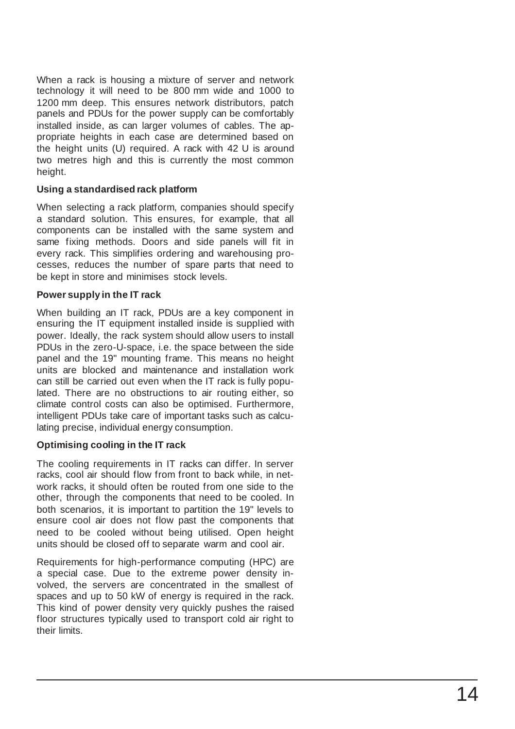When a rack is housing a mixture of server and network technology it will need to be 800 mm wide and 1000 to 1200 mm deep. This ensures network distributors, patch panels and PDUs for the power supply can be comfortably installed inside, as can larger volumes of cables. The appropriate heights in each case are determined based on the height units (U) required. A rack with 42 U is around two metres high and this is currently the most common height.

#### **Using a standardised rack platform**

When selecting a rack platform, companies should specify a standard solution. This ensures, for example, that all components can be installed with the same system and same fixing methods. Doors and side panels will fit in every rack. This simplifies ordering and warehousing processes, reduces the number of spare parts that need to be kept in store and minimises stock levels.

#### **Power supply in the IT rack**

When building an IT rack, PDUs are a key component in ensuring the IT equipment installed inside is supplied with power. Ideally, the rack system should allow users to install PDUs in the zero-U-space, i.e. the space between the side panel and the 19" mounting frame. This means no height units are blocked and maintenance and installation work can still be carried out even when the IT rack is fully populated. There are no obstructions to air routing either, so climate control costs can also be optimised. Furthermore, intelligent PDUs take care of important tasks such as calculating precise, individual energy consumption.

#### **Optimising cooling in the IT rack**

The cooling requirements in IT racks can differ. In server racks, cool air should flow from front to back while, in network racks, it should often be routed from one side to the other, through the components that need to be cooled. In both scenarios, it is important to partition the 19" levels to ensure cool air does not flow past the components that need to be cooled without being utilised. Open height units should be closed off to separate warm and cool air.

Requirements for high -performance computing (HPC) are a special case. Due to the extreme power density involved, the servers are concentrated in the smallest of spaces and up to 50 kW of energy is required in the rack. This kind of power density very quickly pushes the raised floor structures typically used to transport cold air right to their limits.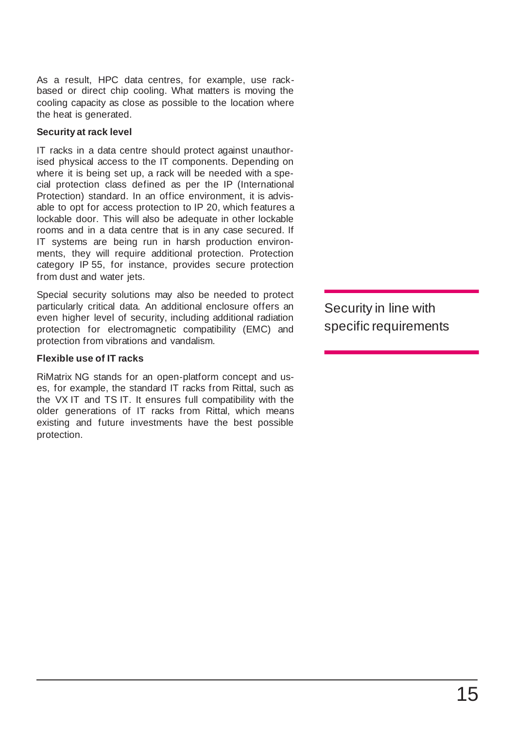As a result, HPC data centres, for example, use rackbased or direct chip cooling. What matters is moving the cooling capacity as close as possible to the location where the heat is generated.

#### **Security at rack level**

IT racks in a data centre should protect against unauthorised physical access to the IT components. Depending on where it is being set up, a rack will be needed with a special protection class defined as per the IP (International Protection) standard. In an office environment, it is advisable to opt for access protection to IP 20, which features a lockable door. This will also be adequate in other lockable rooms and in a data centre that is in any case secured. If IT systems are being run in harsh production environments, they will require additional protection. Protection category IP 55, for instance, provides secure protection from dust and water jets.

Special security solutions may also be needed to protect particularly critical data. An additional enclosure offers an even higher level of security, including additional radiation protection for electromagnetic compatibility (EMC) and protection from vibrations and vandalism.

#### **Flexible use of IT racks**

RiMatrix NG stands for an open-platform concept and uses, for example, the standard IT racks from Rittal, such as the VX IT and TS IT. It ensures full compatibility with the older generations of IT racks from Rittal, which means existing and future investments have the best possible protection.

Security in line with specific requirements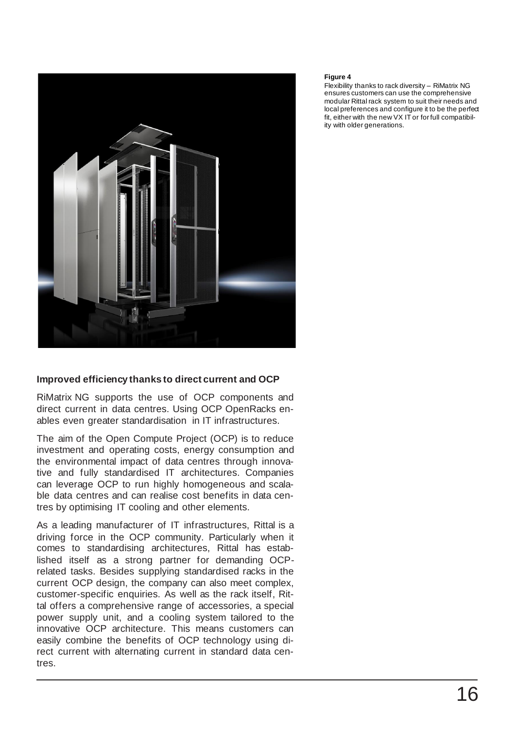

#### **Improved efficiency thanks to direct current and OCP**

RiMatrix NG supports the use of OCP components and direct current in data centres. Using OCP OpenRacks enables even greater standardisation in IT infrastructures.

The aim of the Open Compute Project (OCP) is to reduce investment and operating costs, energy consumption and the environmental impact of data centres through innovative and fully standardised IT architectures. Companies can leverage OCP to run highly homogeneous and scalable data centres and can realise cost benefits in data centres by optimising IT cooling and other elements.

As a leading manufacturer of IT infrastructures, Rittal is a driving force in the OCP community. Particularly when it comes to standardising architectures, Rittal has established itself as a strong partner for demanding OCPrelated tasks. Besides supplying standardised racks in the current OCP design, the company can also meet complex, customer-specific enquiries. As well as the rack itself, Rittal offers a comprehensive range of accessories, a special power supply unit, and a cooling system tailored to the innovative OCP architecture. This means customers can easily combine the benefits of OCP technology using direct current with alternating current in standard data centres.

#### **Figure 4**

Flexibility thanks to rack diversity – RiMatrix NG ensures customers can use the comprehensive modular Rittal rack system to suit their needs and local preferences and configure it to be the perfect fit, either with the new VX IT or for full compatibility with older generations.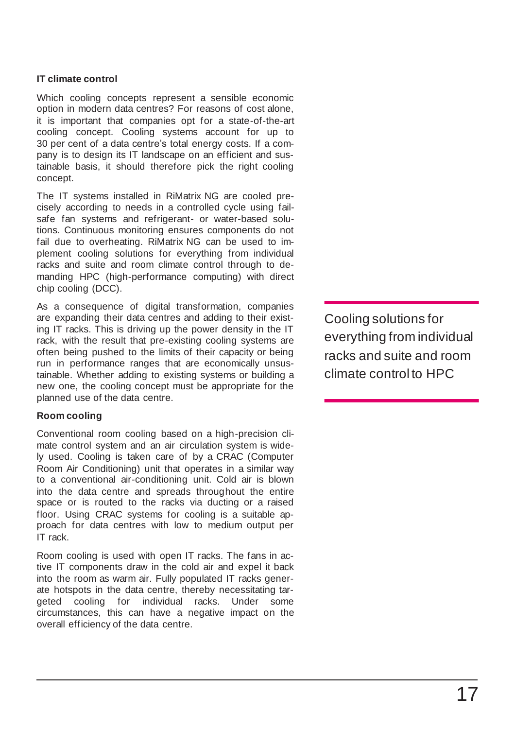#### **IT climate control**

Which cooling concepts represent a sensible economic option in modern data centres? For reasons of cost alone, it is important that companies opt for a state-of-the-art cooling concept. Cooling systems account for up to 30 per cent of a data centre's total energy costs. If a company is to design its IT landscape on an efficient and sustainable basis, it should therefore pick the right cooling concept.

The IT systems installed in RiMatrix NG are cooled precisely according to needs in a controlled cycle using failsafe fan systems and refrigerant- or water-based solutions. Continuous monitoring ensures components do not fail due to overheating. RiMatrix NG can be used to implement cooling solutions for everything from individual racks and suite and room climate control through to demanding HPC (high-performance computing) with direct chip cooling (DCC).

As a consequence of digital transformation, companies are expanding their data centres and adding to their existing IT racks. This is driving up the power density in the IT rack, with the result that pre-existing cooling systems are often being pushed to the limits of their capacity or being run in performance ranges that are economically unsustainable. Whether adding to existing systems or building a new one, the cooling concept must be appropriate for the planned use of the data centre.

#### **Room cooling**

Conventional room cooling based on a high-precision climate control system and an air circulation system is widely used. Cooling is taken care of by a CRAC (Computer Room Air Conditioning) unit that operates in a similar way to a conventional air-conditioning unit. Cold air is blown into the data centre and spreads throughout the entire space or is routed to the racks via ducting or a raised floor. Using CRAC systems for cooling is a suitable approach for data centres with low to medium output per IT rack.

Room cooling is used with open IT racks. The fans in active IT components draw in the cold air and expel it back into the room as warm air. Fully populated IT racks generate hotspots in the data centre, thereby necessitating targeted cooling for individual racks. Under some circumstances, this can have a negative impact on the overall efficiency of the data centre.

Cooling solutions for everything from individual racks and suite and room climate control to HPC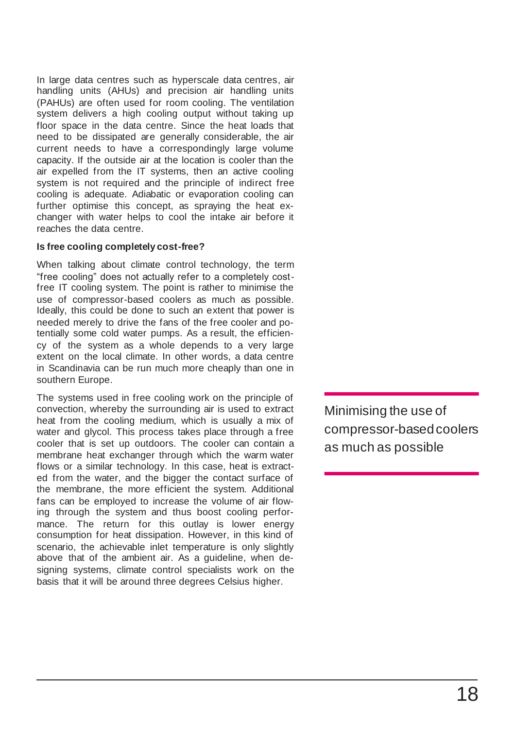In large data centres such as hyperscale data centres, air handling units (AHUs) and precision air handling units (PAHUs) are often used for room cooling. The ventilation system delivers a high cooling output without taking up floor space in the data centre. Since the heat loads that need to be dissipated are generally considerable, the air current needs to have a correspondingly large volume capacity. If the outside air at the location is cooler than the air expelled from the IT systems, then an active cooling system is not required and the principle of indirect free cooling is adequate. Adiabatic or evaporation cooling can further optimise this concept, as spraying the heat exchanger with water helps to cool the intake air before it reaches the data centre.

#### **Is free cooling completely cost-free?**

When talking about climate control technology, the term "free cooling" does not actually refer to a completely costfree IT cooling system. The point is rather to minimise the use of compressor-based coolers as much as possible. Ideally, this could be done to such an extent that power is needed merely to drive the fans of the free cooler and potentially some cold water pumps. As a result, the efficiency of the system as a whole depends to a very large extent on the local climate. In other words, a data centre in Scandinavia can be run much more cheaply than one in southern Europe.

The systems used in free cooling work on the principle of convection, whereby the surrounding air is used to extract heat from the cooling medium, which is usually a mix of water and glycol. This process takes place through a free cooler that is set up outdoors. The cooler can contain a membrane heat exchanger through which the warm water flows or a similar technology. In this case, heat is extracted from the water, and the bigger the contact surface of the membrane, the more efficient the system. Additional fans can be employed to increase the volume of air flowing through the system and thus boost cooling performance. The return for this outlay is lower energy consumption for heat dissipation. However, in this kind of scenario, the achievable inlet temperature is only slightly above that of the ambient air. As a guideline, when designing systems, climate control specialists work on the basis that it will be around three degrees Celsius higher.

Minimising the use of compressor-based coolers as much as possible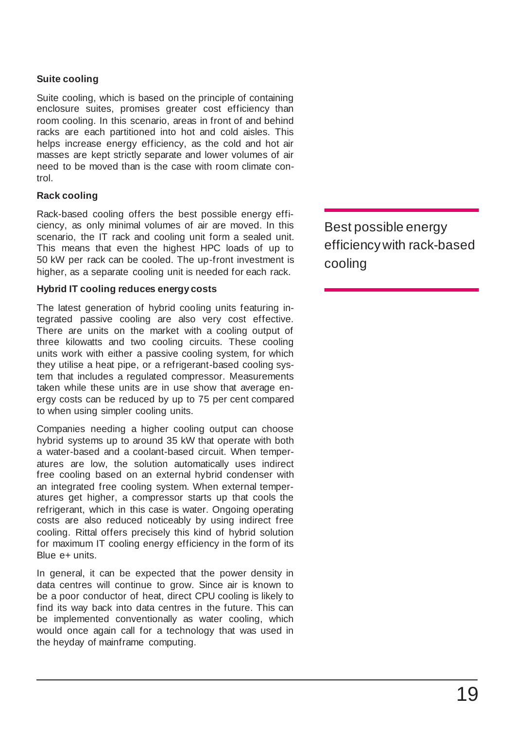#### **Suite cooling**

Suite cooling, which is based on the principle of containing enclosure suites, promises greater cost efficiency than room cooling. In this scenario, areas in front of and behind racks are each partitioned into hot and cold aisles. This helps increase energy efficiency, as the cold and hot air masses are kept strictly separate and lower volumes of air need to be moved than is the case with room climate control.

#### **Rack cooling**

Rack-based cooling offers the best possible energy efficiency, as only minimal volumes of air are moved. In this scenario, the IT rack and cooling unit form a sealed unit. This means that even the highest HPC loads of up to 50 kW per rack can be cooled. The up-front investment is higher, as a separate cooling unit is needed for each rack.

#### **Hybrid IT cooling reduces energy costs**

The latest generation of hybrid cooling units featuring integrated passive cooling are also very cost effective. There are units on the market with a cooling output of three kilowatts and two cooling circuits. These cooling units work with either a passive cooling system, for which they utilise a heat pipe, or a refrigerant-based cooling system that includes a regulated compressor. Measurements taken while these units are in use show that average energy costs can be reduced by up to 75 per cent compared to when using simpler cooling units.

Companies needing a higher cooling output can choose hybrid systems up to around 35 kW that operate with both a water-based and a coolant-based circuit. When temperatures are low, the solution automatically uses indirect free cooling based on an external hybrid condenser with an integrated free cooling system. When external temperatures get higher, a compressor starts up that cools the refrigerant, which in this case is water. Ongoing operating costs are also reduced noticeably by using indirect free cooling. Rittal offers precisely this kind of hybrid solution for maximum IT cooling energy efficiency in the form of its Blue e+ units.

In general, it can be expected that the power density in data centres will continue to grow. Since air is known to be a poor conductor of heat, direct CPU cooling is likely to find its way back into data centres in the future. This can be implemented conventionally as water cooling, which would once again call for a technology that was used in the heyday of mainframe computing.

Best possible energy efficiency with rack-based cooling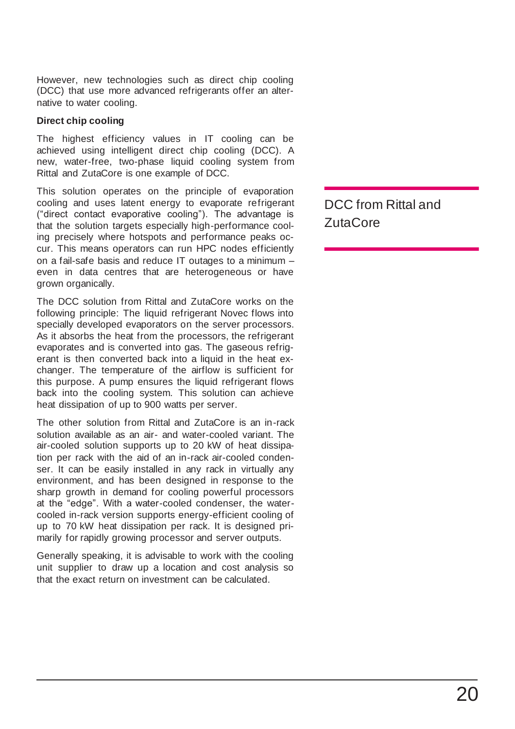However, new technologies such as direct chip cooling (DCC) that use more advanced refrigerants offer an alternative to water cooling.

#### **Direct chip cooling**

The highest efficiency values in IT cooling can be achieved using intelligent direct chip cooling (DCC). A new, water-free, two-phase liquid cooling system from Rittal and ZutaCore is one example of DCC.

This solution operates on the principle of evaporation cooling and uses latent energy to evaporate refrigerant ("direct contact evaporative cooling"). The advantage is that the solution targets especially high-performance cooling precisely where hotspots and performance peaks occur. This means operators can run HPC nodes efficiently on a fail-safe basis and reduce IT outages to a minimum – even in data centres that are heterogeneous or have grown organically.

The DCC solution from Rittal and ZutaCore works on the following principle: The liquid refrigerant Novec flows into specially developed evaporators on the server processors. As it absorbs the heat from the processors, the refrigerant evaporates and is converted into gas. The gaseous refrigerant is then converted back into a liquid in the heat exchanger. The temperature of the airflow is sufficient for this purpose. A pump ensures the liquid refrigerant flows back into the cooling system. This solution can achieve heat dissipation of up to 900 watts per server.

The other solution from Rittal and ZutaCore is an in-rack solution available as an air- and water-cooled variant. The air-cooled solution supports up to 20 kW of heat dissipation per rack with the aid of an in-rack air-cooled condenser. It can be easily installed in any rack in virtually any environment, and has been designed in response to the sharp growth in demand for cooling powerful processors at the "edge". With a water-cooled condenser, the watercooled in-rack version supports energy-efficient cooling of up to 70 kW heat dissipation per rack. It is designed primarily for rapidly growing processor and server outputs.

Generally speaking, it is advisable to work with the cooling unit supplier to draw up a location and cost analysis so that the exact return on investment can be calculated.

DCC from Rittal and ZutaCore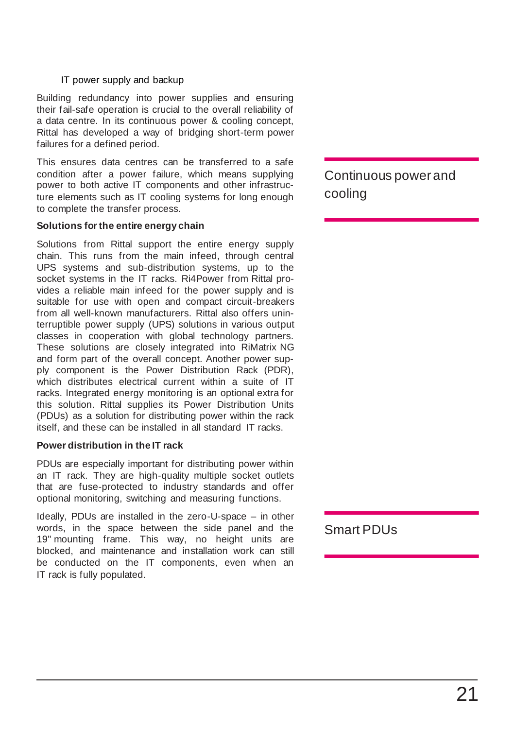#### IT power supply and backup

Building redundancy into power supplies and ensuring their fail-safe operation is crucial to the overall reliability of a data centre. In its continuous power & cooling concept, Rittal has developed a way of bridging short-term power failures for a defined period.

This ensures data centres can be transferred to a safe condition after a power failure, which means supplying power to both active IT components and other infrastructure elements such as IT cooling systems for long enough to complete the transfer process.

#### **Solutions for the entire energy chain**

Solutions from Rittal support the entire energy supply chain. This runs from the main infeed, through central UPS systems and sub-distribution systems, up to the socket systems in the IT racks. Ri4Power from Rittal provides a reliable main infeed for the power supply and is suitable for use with open and compact circuit-breakers from all well-known manufacturers. Rittal also offers uninterruptible power supply (UPS) solutions in various output classes in cooperation with global technology partners. These solutions are closely integrated into RiMatrix NG and form part of the overall concept. Another power supply component is the Power Distribution Rack (PDR), which distributes electrical current within a suite of IT racks. Integrated energy monitoring is an optional extra for this solution. Rittal supplies its Power Distribution Units (PDUs) as a solution for distributing power within the rack itself, and these can be installed in all standard IT racks.

#### **Power distribution in the IT rack**

PDUs are especially important for distributing power within an IT rack. They are high-quality multiple socket outlets that are fuse-protected to industry standards and offer optional monitoring, switching and measuring functions.

Ideally, PDUs are installed in the zero-U-space – in other words, in the space between the side panel and the 19" mounting frame. This way, no height units are blocked, and maintenance and installation work can still be conducted on the IT components, even when an IT rack is fully populated.

Continuous power and cooling

Smart PDUs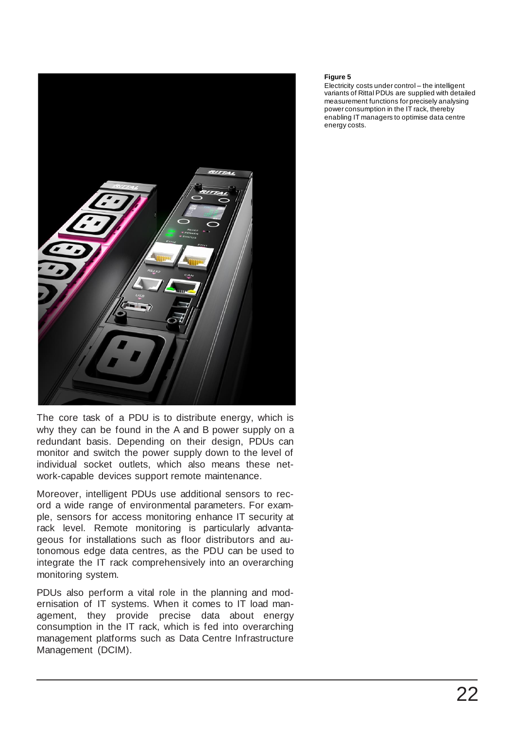

The core task of a PDU is to distribute energy, which is why they can be found in the A and B power supply on a redundant basis. Depending on their design, PDUs can monitor and switch the power supply down to the level of individual socket outlets, which also means these network-capable devices support remote maintenance.

Moreover, intelligent PDUs use additional sensors to record a wide range of environmental parameters. For example, sensors for access monitoring enhance IT security at rack level. Remote monitoring is particularly advantageous for installations such as floor distributors and autonomous edge data centres, as the PDU can be used to integrate the IT rack comprehensively into an overarching monitoring system.

PDUs also perform a vital role in the planning and modernisation of IT systems. When it comes to IT load management, they provide precise data about energy consumption in the IT rack, which is fed into overarching management platforms such as Data Centre Infrastructure Management (DCIM).

#### **Figure 5**

Electricity costs under control – the intelligent variants of Rittal PDUs are supplied with detailed measurement functions for precisely analysing power consumption in the IT rack, thereby enabling IT managers to optimise data centre energy costs.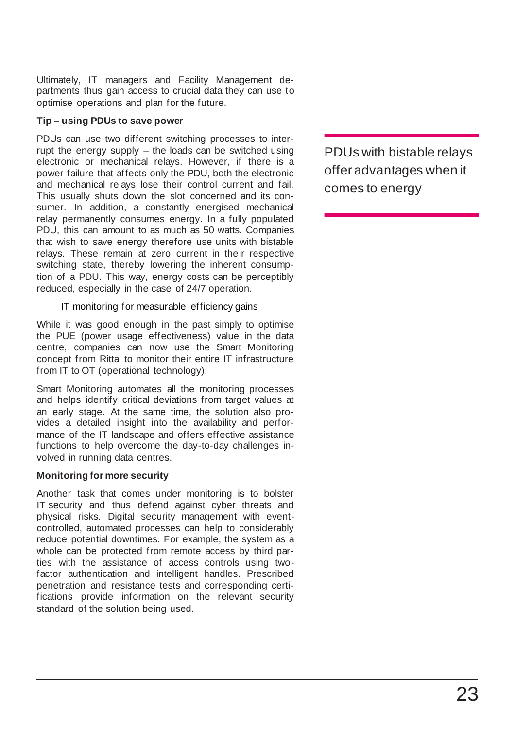Ultimately, IT managers and Facility Management departments thus gain access to crucial data they can use to optimise operations and plan for the future.

#### **Tip – using PDUs to save power**

PDUs can use two different switching processes to interrupt the energy supply – the loads can be switched using electronic or mechanical relays. However, if there is a power failure that affects only the PDU, both the electronic and mechanical relays lose their control current and fail. This usually shuts down the slot concerned and its consumer. In addition, a constantly energised mechanical relay permanently consumes energy. In a fully populated PDU, this can amount to as much as 50 watts. Companies that wish to save energy therefore use units with bistable relays. These remain at zero current in their respective switching state, thereby lowering the inherent consumption of a PDU. This way, energy costs can be perceptibly reduced, especially in the case of 24/7 operation.

#### IT monitoring for measurable efficiency gains

While it was good enough in the past simply to optimise the PUE (power usage effectiveness) value in the data centre, companies can now use the Smart Monitoring concept from Rittal to monitor their entire IT infrastructure from IT to OT (operational technology).

Smart Monitoring automates all the monitoring processes and helps identify critical deviations from target values at an early stage. At the same time, the solution also provides a detailed insight into the availability and performance of the IT landscape and offers effective assistance functions to help overcome the day-to-day challenges involved in running data centres.

#### **Monitoring for more security**

Another task that comes under monitoring is to bolster IT security and thus defend against cyber threats and physical risks. Digital security management with eventcontrolled, automated processes can help to considerably reduce potential downtimes. For example, the system as a whole can be protected from remote access by third parties with the assistance of access controls using twofactor authentication and intelligent handles. Prescribed penetration and resistance tests and corresponding certifications provide information on the relevant security standard of the solution being used.

PDUs with bistable relays offer advantages when it comes to energy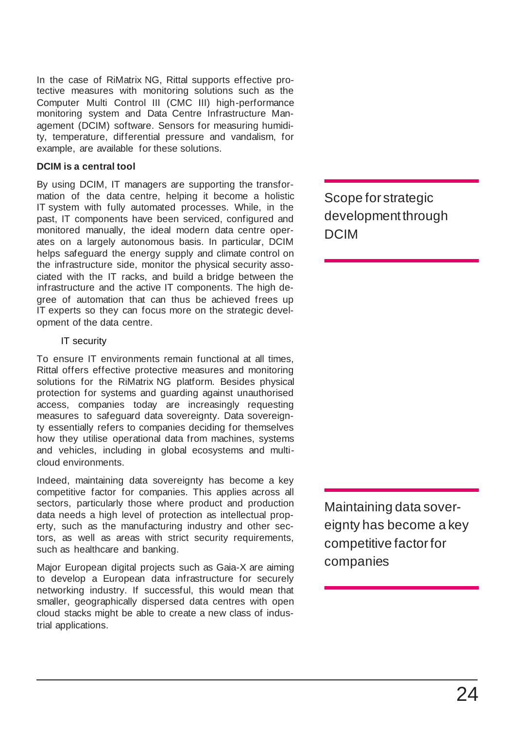In the case of RiMatrix NG, Rittal supports effective protective measures with monitoring solutions such as the Computer Multi Control III (CMC III) high-performance monitoring system and Data Centre Infrastructure Management (DCIM) software. Sensors for measuring humidity, temperature, differential pressure and vandalism, for example, are available for these solutions.

#### **DCIM is a central tool**

By using DCIM, IT managers are supporting the transformation of the data centre, helping it become a holistic IT system with fully automated processes. While, in the past, IT components have been serviced, configured and monitored manually, the ideal modern data centre operates on a largely autonomous basis. In particular, DCIM helps safeguard the energy supply and climate control on the infrastructure side, monitor the physical security associated with the IT racks, and build a bridge between the infrastructure and the active IT components. The high degree of automation that can thus be achieved frees up IT experts so they can focus more on the strategic development of the data centre.

#### IT security

To ensure IT environments remain functional at all times, Rittal offers effective protective measures and monitoring solutions for the RiMatrix NG platform. Besides physical protection for systems and guarding against unauthorised access, companies today are increasingly requesting measures to safeguard data sovereignty. Data sovereignty essentially refers to companies deciding for themselves how they utilise operational data from machines, systems and vehicles, including in global ecosystems and multicloud environments.

Indeed, maintaining data sovereignty has become a key competitive factor for companies. This applies across all sectors, particularly those where product and production data needs a high level of protection as intellectual property, such as the manufacturing industry and other sectors, as well as areas with strict security requirements, such as healthcare and banking.

Major European digital projects such as Gaia-X are aiming to develop a European data infrastructure for securely networking industry. If successful, this would mean that smaller, geographically dispersed data centres with open cloud stacks might be able to create a new class of industrial applications.

Scope for strategic development through DCIM

Maintaining data sovereignty has become a key competitive factor for companies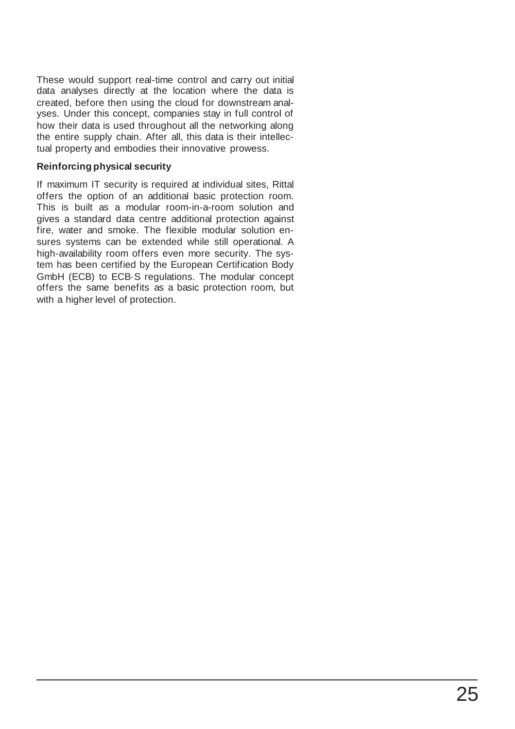These would support real-time control and carry out initial data analyses directly at the location where the data is created, before then using the cloud for downstream analyses. Under this concept, companies stay in full control of how their data is used throughout all the networking along the entire supply chain. After all, this data is their intellectual property and embodies their innovative prowess.

#### **Reinforcing physical security**

If maximum IT security is required at individual sites, Rittal offers the option of an additional basic protection room. This is built as a modular room-in-a-room solution and gives a standard data centre additional protection against fire, water and smoke. The flexible modular solution ensures systems can be extended while still operational. A high-availability room offers even more security. The system has been certified by the European Certification Body GmbH (ECB) to ECB·S regulations. The modular concept offers the same benefits as a basic protection room, but with a higher level of protection.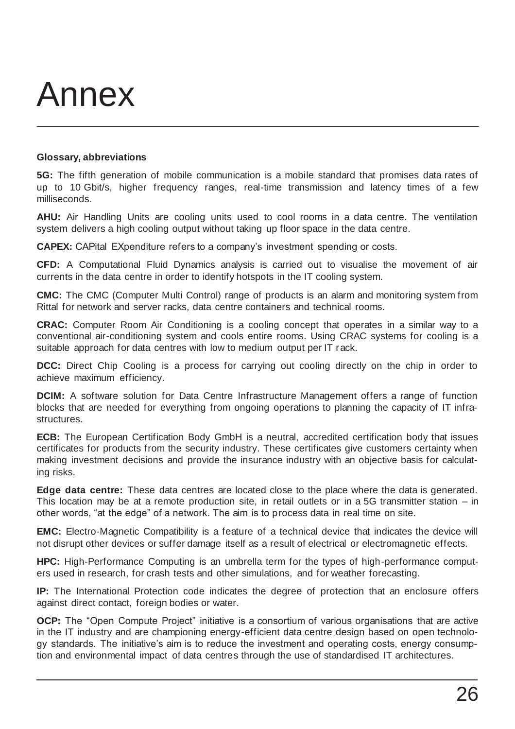## Annex

#### **Glossary, abbreviations**

**5G:** The fifth generation of mobile communication is a mobile standard that promises data rates of up to 10 Gbit/s, higher frequency ranges, real-time transmission and latency times of a few milliseconds.

**AHU:** Air Handling Units are cooling units used to cool rooms in a data centre. The ventilation system delivers a high cooling output without taking up floor space in the data centre.

**CAPEX:** CAPital EXpenditure refers to a company's investment spending or costs.

**CFD:** A Computational Fluid Dynamics analysis is carried out to visualise the movement of air currents in the data centre in order to identify hotspots in the IT cooling system.

**CMC:** The CMC (Computer Multi Control) range of products is an alarm and monitoring system from Rittal for network and server racks, data centre containers and technical rooms.

**CRAC:** Computer Room Air Conditioning is a cooling concept that operates in a similar way to a conventional air-conditioning system and cools entire rooms. Using CRAC systems for cooling is a suitable approach for data centres with low to medium output per IT rack.

**DCC:** Direct Chip Cooling is a process for carrying out cooling directly on the chip in order to achieve maximum efficiency.

**DCIM:** A software solution for Data Centre Infrastructure Management offers a range of function blocks that are needed for everything from ongoing operations to planning the capacity of IT infrastructures.

**ECB:** The European Certification Body GmbH is a neutral, accredited certification body that issues certificates for products from the security industry. These certificates give customers certainty when making investment decisions and provide the insurance industry with an objective basis for calculating risks.

**Edge data centre:** These data centres are located close to the place where the data is generated. This location may be at a remote production site, in retail outlets or in a 5G transmitter station – in other words, "at the edge" of a network. The aim is to process data in real time on site.

**EMC:** Electro-Magnetic Compatibility is a feature of a technical device that indicates the device will not disrupt other devices or suffer damage itself as a result of electrical or electromagnetic effects.

**HPC:** High-Performance Computing is an umbrella term for the types of high-performance computers used in research, for crash tests and other simulations, and for weather forecasting.

**IP:** The International Protection code indicates the degree of protection that an enclosure offers against direct contact, foreign bodies or water.

**OCP:** The "Open Compute Project" initiative is a consortium of various organisations that are active in the IT industry and are championing energy-efficient data centre design based on open technology standards. The initiative's aim is to reduce the investment and operating costs, energy consumption and environmental impact of data centres through the use of standardised IT architectures.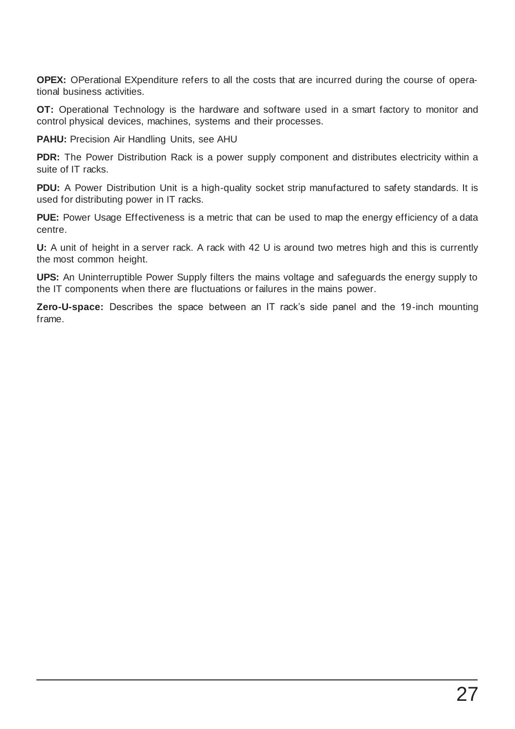**OPEX:** OPerational EXpenditure refers to all the costs that are incurred during the course of operational business activities.

**OT:** Operational Technology is the hardware and software used in a smart factory to monitor and control physical devices, machines, systems and their processes.

**PAHU:** Precision Air Handling Units, see AHU

**PDR:** The Power Distribution Rack is a power supply component and distributes electricity within a suite of IT racks.

**PDU:** A Power Distribution Unit is a high-quality socket strip manufactured to safety standards. It is used for distributing power in IT racks.

**PUE:** Power Usage Effectiveness is a metric that can be used to map the energy efficiency of a data centre.

**U:** A unit of height in a server rack. A rack with 42 U is around two metres high and this is currently the most common height.

**UPS:** An Uninterruptible Power Supply filters the mains voltage and safeguards the energy supply to the IT components when there are fluctuations or failures in the mains power.

**Zero-U-space:** Describes the space between an IT rack's side panel and the 19-inch mounting frame.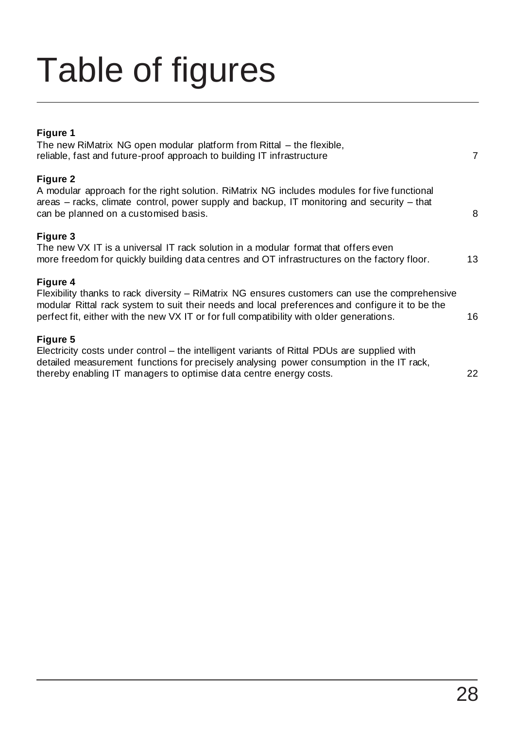# Table of figures

### **Figure 1**

| The new RiMatrix NG open modular platform from Rittal – the flexible,<br>reliable, fast and future-proof approach to building IT infrastructure                                                                                                                                                           | $\overline{7}$ |
|-----------------------------------------------------------------------------------------------------------------------------------------------------------------------------------------------------------------------------------------------------------------------------------------------------------|----------------|
| Figure 2<br>A modular approach for the right solution. RiMatrix NG includes modules for five functional<br>areas – racks, climate control, power supply and backup, IT monitoring and security – that<br>can be planned on a customised basis.                                                            | 8              |
| Figure 3<br>The new VX IT is a universal IT rack solution in a modular format that offers even<br>more freedom for quickly building data centres and OT infrastructures on the factory floor.                                                                                                             | 13             |
| Figure 4<br>Flexibility thanks to rack diversity – RiMatrix NG ensures customers can use the comprehensive<br>modular Rittal rack system to suit their needs and local preferences and configure it to be the<br>perfect fit, either with the new VX IT or for full compatibility with older generations. | 16             |
| Figure 5<br>Electricity costs under control – the intelligent variants of Rittal PDUs are supplied with<br>detailed measurement functions for precisely analysing power consumption in the IT rack,<br>thereby enabling IT managers to optimise data centre energy costs.                                 | 22             |